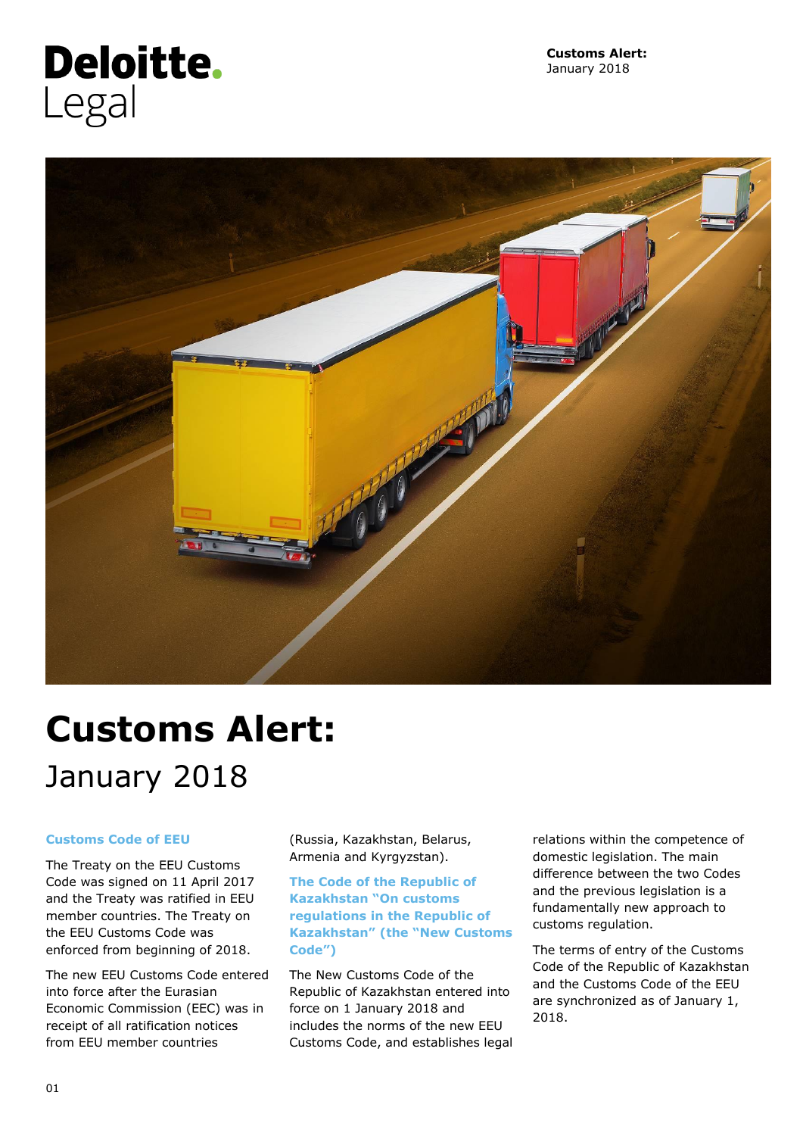# **Deloitte.** Legal



# **Customs Alert:** January 2018

### **Customs Code of EEU**

The Treaty on the EEU Customs Code was signed on 11 April 2017 and the Treaty was ratified in EEU member countries. The Treaty on the EEU Customs Code was enforced from beginning of 2018.

The new EEU Customs Code entered into force after the Eurasian Economic Commission (EEC) was in receipt of all ratification notices from EEU member countries

(Russia, Kazakhstan, Belarus, Armenia and Kyrgyzstan).

**The Code of the Republic of Kazakhstan "On customs regulations in the Republic of Kazakhstan" (the "New Customs Code")**

The New Customs Code of the Republic of Kazakhstan entered into force on 1 January 2018 and includes the norms of the new EEU Customs Code, and establishes legal relations within the competence of domestic legislation. The main difference between the two Codes and the previous legislation is a fundamentally new approach to customs regulation.

The terms of entry of the Customs Code of the Republic of Kazakhstan and the Customs Code of the EEU are synchronized as of January 1, 2018.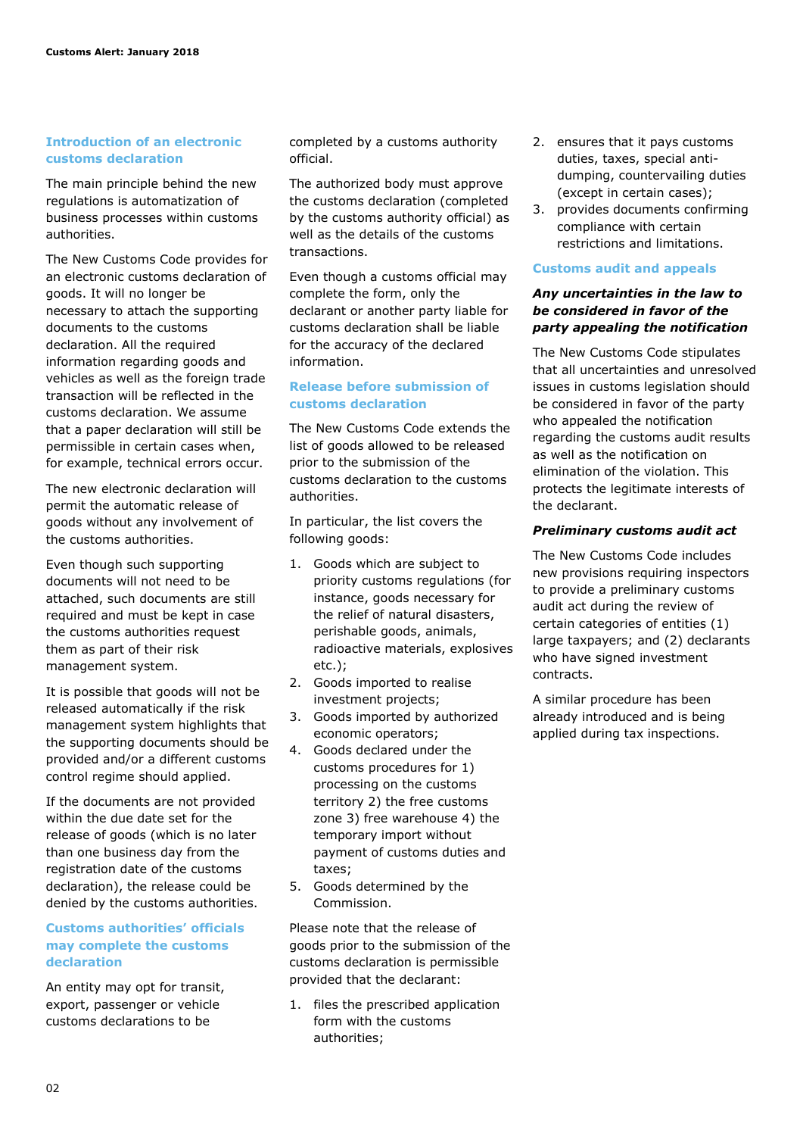#### **Introduction of an electronic customs declaration**

The main principle behind the new regulations is automatization of business processes within customs authorities.

The New Customs Code provides for an electronic customs declaration of goods. It will no longer be necessary to attach the supporting documents to the customs declaration. All the required information regarding goods and vehicles as well as the foreign trade transaction will be reflected in the customs declaration. We assume that a paper declaration will still be permissible in certain cases when, for example, technical errors occur.

The new electronic declaration will permit the automatic release of goods without any involvement of the customs authorities.

Even though such supporting documents will not need to be attached, such documents are still required and must be kept in case the customs authorities request them as part of their risk management system.

It is possible that goods will not be released automatically if the risk management system highlights that the supporting documents should be provided and/or a different customs control regime should applied.

If the documents are not provided within the due date set for the release of goods (which is no later than one business day from the registration date of the customs declaration), the release could be denied by the customs authorities.

#### **Customs authorities' officials may complete the customs declaration**

An entity may opt for transit, export, passenger or vehicle customs declarations to be

completed by a customs authority official.

The authorized body must approve the customs declaration (completed by the customs authority official) as well as the details of the customs transactions.

Even though a customs official may complete the form, only the declarant or another party liable for customs declaration shall be liable for the accuracy of the declared information.

#### **Release before submission of customs declaration**

The New Customs Code extends the list of goods allowed to be released prior to the submission of the customs declaration to the customs authorities.

In particular, the list covers the following goods:

- 1. Goods which are subject to priority customs regulations (for instance, goods necessary for the relief of natural disasters, perishable goods, animals, radioactive materials, explosives etc.);
- 2. Goods imported to realise investment projects;
- 3. Goods imported by authorized economic operators;
- 4. Goods declared under the customs procedures for 1) processing on the customs territory 2) the free customs zone 3) free warehouse 4) the temporary import without payment of customs duties and taxes;
- 5. Goods determined by the Commission.

Please note that the release of goods prior to the submission of the customs declaration is permissible provided that the declarant:

1. files the prescribed application form with the customs authorities;

- 2. ensures that it pays customs duties, taxes, special antidumping, countervailing duties (except in certain cases);
- 3. provides documents confirming compliance with certain restrictions and limitations.

#### **Customs audit and appeals**

#### *Any uncertainties in the law to be considered in favor of the party appealing the notification*

The New Customs Code stipulates that all uncertainties and unresolved issues in customs legislation should be considered in favor of the party who appealed the notification regarding the customs audit results as well as the notification on elimination of the violation. This protects the legitimate interests of the declarant.

#### *Preliminary customs audit act*

The New Customs Code includes new provisions requiring inspectors to provide a preliminary customs audit act during the review of certain categories of entities (1) large taxpayers; and (2) declarants who have signed investment contracts.

A similar procedure has been already introduced and is being applied during tax inspections.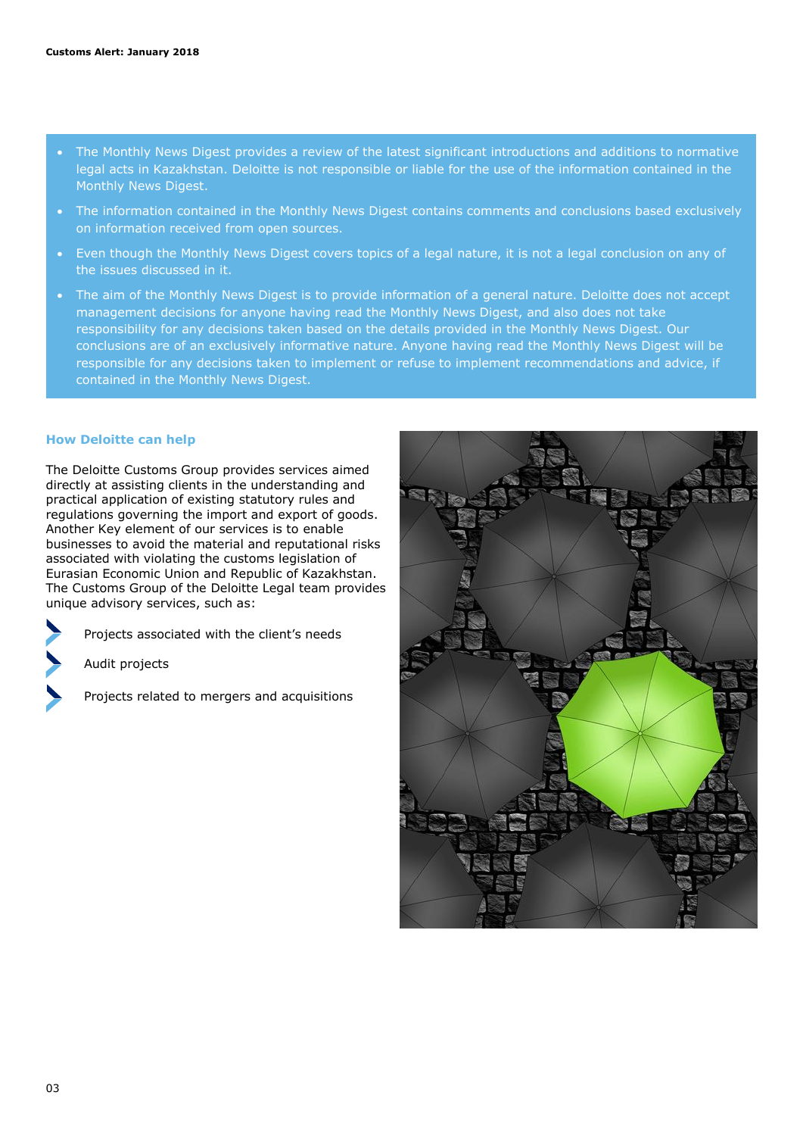- The Monthly News Digest provides a review of the latest significant introductions and additions to normative legal acts in Kazakhstan. Deloitte is not responsible or liable for the use of the information contained in the Monthly News Digest.
- The information contained in the Monthly News Digest contains comments and conclusions based exclusively on information received from open sources.
- Even though the Monthly News Digest covers topics of a legal nature, it is not a legal conclusion on any of the issues discussed in it.
- The aim of the Monthly News Digest is to provide information of a general nature. Deloitte does not accept management decisions for anyone having read the Monthly News Digest, and also does not take responsibility for any decisions taken based on the details provided in the Monthly News Digest. Our conclusions are of an exclusively informative nature. Anyone having read the Monthly News Digest will be responsible for any decisions taken to implement or refuse to implement recommendations and advice, if contained in the Monthly News Digest.

#### **How Deloitte can help**

The Deloitte Customs Group provides services aimed directly at assisting clients in the understanding and practical application of existing statutory rules and regulations governing the import and export of goods. Another Key element of our services is to enable businesses to avoid the material and reputational risks associated with violating the customs legislation of Eurasian Economic Union and Republic of Kazakhstan. The Customs Group of the Deloitte Legal team provides unique advisory services, such as:

Projects associated with the client's needs

Audit projects

Projects related to mergers and acquisitions